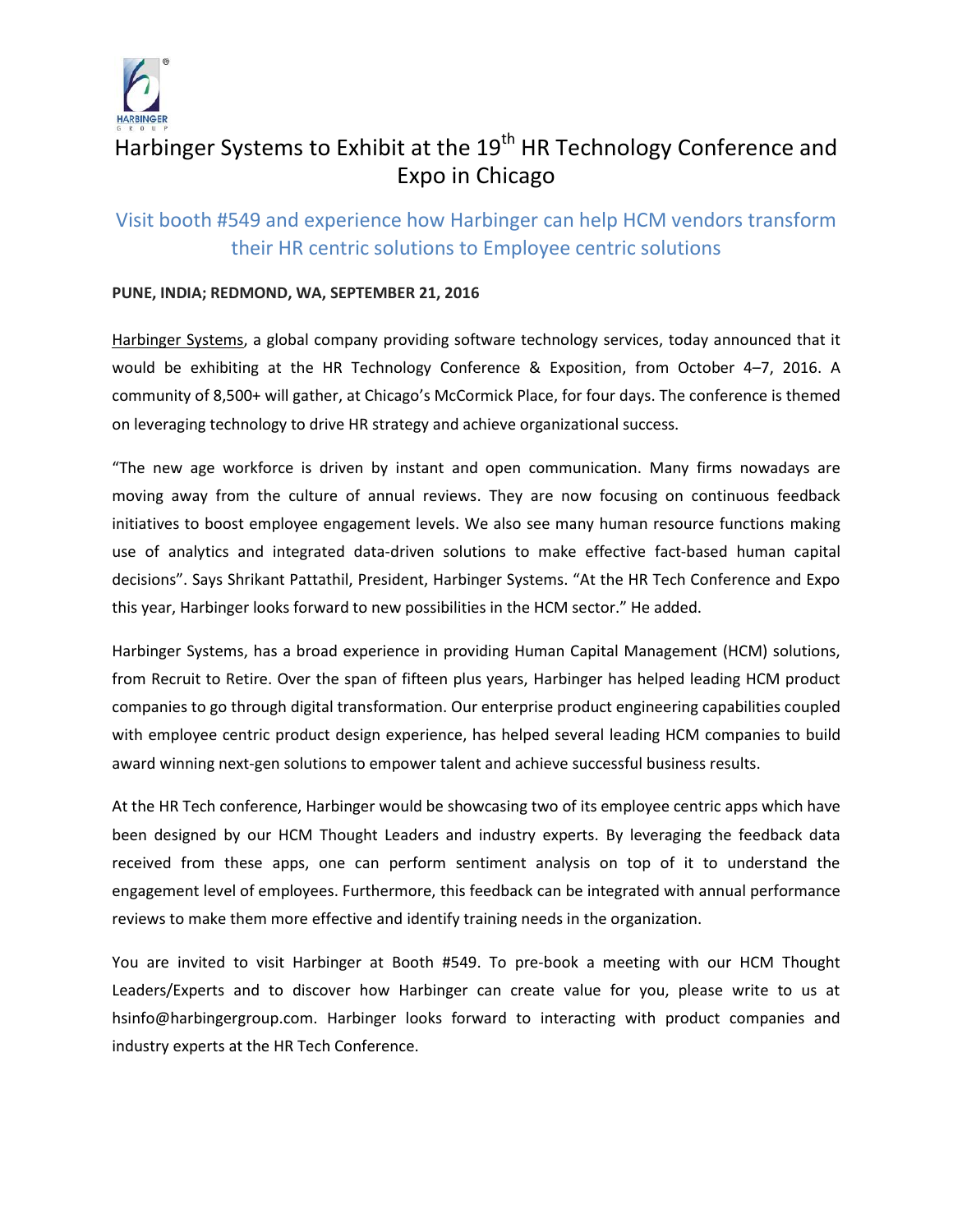

# Harbinger Systems to Exhibit at the 19<sup>th</sup> HR Technology Conference and Expo in Chicago

# Visit booth #549 and experience how Harbinger can help HCM vendors transform their HR centric solutions to Employee centric solutions

# **PUNE, INDIA; REDMOND, WA, SEPTEMBER 21, 2016**

[Harbinger Systems,](http://harbinger-systems.com/) a global company providing software technology services, today announced that it would be exhibiting at the HR Technology Conference & Exposition, from October 4–7, 2016. A community of 8,500+ will gather, at Chicago's McCormick Place, for four days. The conference is themed on leveraging technology to drive HR strategy and achieve organizational success.

"The new age workforce is driven by instant and open communication. Many firms nowadays are moving away from the culture of annual reviews. They are now focusing on continuous feedback initiatives to boost employee engagement levels. We also see many human resource functions making use of analytics and integrated data-driven solutions to make effective fact-based human capital decisions". Says Shrikant Pattathil, President, Harbinger Systems. "At the HR Tech Conference and Expo this year, Harbinger looks forward to new possibilities in the HCM sector." He added.

Harbinger Systems, has a broad experience in providing Human Capital Management (HCM) solutions, from Recruit to Retire. Over the span of fifteen plus years, Harbinger has helped leading HCM product companies to go through digital transformation. Our enterprise product engineering capabilities coupled with employee centric product design experience, has helped several leading HCM companies to build award winning next-gen solutions to empower talent and achieve successful business results.

At the HR Tech conference, Harbinger would be showcasing two of its employee centric apps which have been designed by our HCM Thought Leaders and industry experts. By leveraging the feedback data received from these apps, one can perform sentiment analysis on top of it to understand the engagement level of employees. Furthermore, this feedback can be integrated with annual performance reviews to make them more effective and identify training needs in the organization.

You are invited to visit Harbinger at Booth #549. To pre-book a meeting with our HCM Thought Leaders/Experts and to discover how Harbinger can create value for you, please write to us at [hsinfo@harbingergroup.com.](mailto:hsinfo@harbingergroup.com) Harbinger looks forward to interacting with product companies and industry experts at the HR Tech Conference.